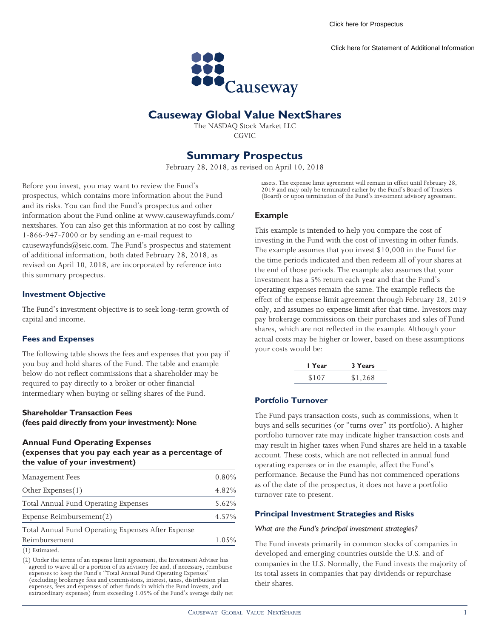[Click here for Prospectus](https://www.causewaycap.com/wp-content/uploads/NextShares-April-10-2018_Pro.pdf)

[Click here for Statement of Additional Information](https://www.causewaycap.com/wp-content/uploads/NextShares-April-10-2018_SAI.pdf)



# **Causeway Global Value NextShares**

The NASDAQ Stock Market LLC CGVIC

# **Summary Prospectus**

February 28, 2018, as revised on April 10, 2018

Before you invest, you may want to review the Fund's prospectus, which contains more information about the Fund and its risks. You can find the Fund's prospectus and other information about the Fund online at www.causewayfunds.com/ nextshares. You can also get this information at no cost by calling 1-866-947-7000 or by sending an e-mail request to causewayfunds@seic.com. The Fund's prospectus and statement of additional information, both dated February 28, 2018, as revised on April 10, 2018, are incorporated by reference into this summary prospectus.

# **Investment Objective**

The Fund's investment objective is to seek long-term growth of capital and income.

# **Fees and Expenses**

The following table shows the fees and expenses that you pay if you buy and hold shares of the Fund. The table and example below do not reflect commissions that a shareholder may be required to pay directly to a broker or other financial intermediary when buying or selling shares of the Fund.

# **Shareholder Transaction Fees (fees paid directly from your investment): None**

# **Annual Fund Operating Expenses (expenses that you pay each year as a percentage of the value of your investment)**

| Management Fees                                    | 0.80% |  |  |  |
|----------------------------------------------------|-------|--|--|--|
| Other Expenses(1)                                  | 4.82% |  |  |  |
| Total Annual Fund Operating Expenses               | 5.62% |  |  |  |
| Expense Reimbursement(2)                           |       |  |  |  |
| Total Annual Fund Operating Expenses After Expense |       |  |  |  |
| Reimbursement                                      |       |  |  |  |
| $(1)$ Estimated.                                   |       |  |  |  |

(2) Under the terms of an expense limit agreement, the Investment Adviser has agreed to waive all or a portion of its advisory fee and, if necessary, reimburse expenses to keep the Fund's "Total Annual Fund Operating Expenses (excluding brokerage fees and commissions, interest, taxes, distribution plan expenses, fees and expenses of other funds in which the Fund invests, and extraordinary expenses) from exceeding 1.05% of the Fund's average daily net assets. The expense limit agreement will remain in effect until February 28, 2019 and may only be terminated earlier by the Fund's Board of Trustees (Board) or upon termination of the Fund's investment advisory agreement.

# **Example**

This example is intended to help you compare the cost of investing in the Fund with the cost of investing in other funds. The example assumes that you invest \$10,000 in the Fund for the time periods indicated and then redeem all of your shares at the end of those periods. The example also assumes that your investment has a 5% return each year and that the Fund's operating expenses remain the same. The example reflects the effect of the expense limit agreement through February 28, 2019 only, and assumes no expense limit after that time. Investors may pay brokerage commissions on their purchases and sales of Fund shares, which are not reflected in the example. Although your actual costs may be higher or lower, based on these assumptions your costs would be:

| I Year | 3 Years |
|--------|---------|
| \$107  | \$1,268 |

# **Portfolio Turnover**

The Fund pays transaction costs, such as commissions, when it buys and sells securities (or "turns over" its portfolio). A higher portfolio turnover rate may indicate higher transaction costs and may result in higher taxes when Fund shares are held in a taxable account. These costs, which are not reflected in annual fund operating expenses or in the example, affect the Fund's performance. Because the Fund has not commenced operations as of the date of the prospectus, it does not have a portfolio turnover rate to present.

# **Principal Investment Strategies and Risks**

#### *What are the Fund's principal investment strategies?*

The Fund invests primarily in common stocks of companies in developed and emerging countries outside the U.S. and of companies in the U.S. Normally, the Fund invests the majority of its total assets in companies that pay dividends or repurchase their shares.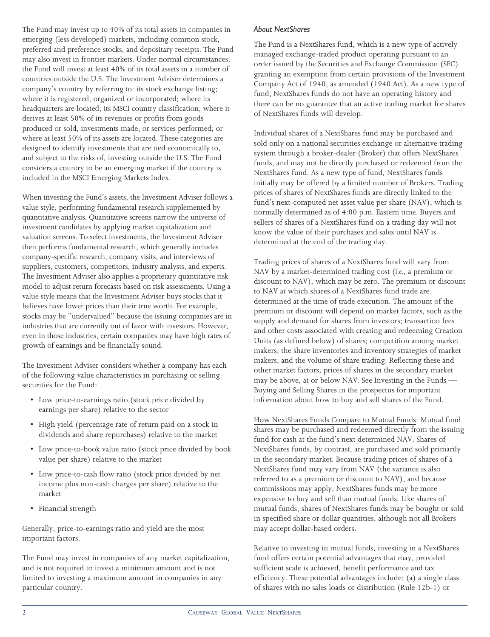The Fund may invest up to 40% of its total assets in companies in emerging (less developed) markets, including common stock, preferred and preference stocks, and depositary receipts. The Fund may also invest in frontier markets. Under normal circumstances, the Fund will invest at least 40% of its total assets in a number of countries outside the U.S. The Investment Adviser determines a company's country by referring to: its stock exchange listing; where it is registered, organized or incorporated; where its headquarters are located; its MSCI country classification; where it derives at least 50% of its revenues or profits from goods produced or sold, investments made, or services performed; or where at least 50% of its assets are located. These categories are designed to identify investments that are tied economically to, and subject to the risks of, investing outside the U.S. The Fund considers a country to be an emerging market if the country is included in the MSCI Emerging Markets Index.

When investing the Fund's assets, the Investment Adviser follows a value style, performing fundamental research supplemented by quantitative analysis. Quantitative screens narrow the universe of investment candidates by applying market capitalization and valuation screens. To select investments, the Investment Adviser then performs fundamental research, which generally includes company-specific research, company visits, and interviews of suppliers, customers, competitors, industry analysts, and experts. The Investment Adviser also applies a proprietary quantitative risk model to adjust return forecasts based on risk assessments. Using a value style means that the Investment Adviser buys stocks that it believes have lower prices than their true worth. For example, stocks may be "undervalued" because the issuing companies are in industries that are currently out of favor with investors. However, even in those industries, certain companies may have high rates of growth of earnings and be financially sound.

The Investment Adviser considers whether a company has each of the following value characteristics in purchasing or selling securities for the Fund:

- Low price-to-earnings ratio (stock price divided by earnings per share) relative to the sector
- High yield (percentage rate of return paid on a stock in dividends and share repurchases) relative to the market
- Low price-to-book value ratio (stock price divided by book value per share) relative to the market
- Low price-to-cash flow ratio (stock price divided by net income plus non-cash charges per share) relative to the market
- Financial strength

Generally, price-to-earnings ratio and yield are the most important factors.

The Fund may invest in companies of any market capitalization, and is not required to invest a minimum amount and is not limited to investing a maximum amount in companies in any particular country.

# *About NextShares*

The Fund is a NextShares fund, which is a new type of actively managed exchange-traded product operating pursuant to an order issued by the Securities and Exchange Commission (SEC) granting an exemption from certain provisions of the Investment Company Act of 1940, as amended (1940 Act). As a new type of fund, NextShares funds do not have an operating history and there can be no guarantee that an active trading market for shares of NextShares funds will develop.

Individual shares of a NextShares fund may be purchased and sold only on a national securities exchange or alternative trading system through a broker-dealer (Broker) that offers NextShares funds, and may not be directly purchased or redeemed from the NextShares fund. As a new type of fund, NextShares funds initially may be offered by a limited number of Brokers. Trading prices of shares of NextShares funds are directly linked to the fund's next-computed net asset value per share (NAV), which is normally determined as of 4:00 p.m. Eastern time. Buyers and sellers of shares of a NextShares fund on a trading day will not know the value of their purchases and sales until NAV is determined at the end of the trading day.

Trading prices of shares of a NextShares fund will vary from NAV by a market-determined trading cost (*i.e.*, a premium or discount to NAV), which may be zero. The premium or discount to NAV at which shares of a NextShares fund trade are determined at the time of trade execution. The amount of the premium or discount will depend on market factors, such as the supply and demand for shares from investors; transaction fees and other costs associated with creating and redeeming Creation Units (as defined below) of shares; competition among market makers; the share inventories and inventory strategies of market makers; and the volume of share trading. Reflecting these and other market factors, prices of shares in the secondary market may be above, at or below NAV. See Investing in the Funds — Buying and Selling Shares in the prospectus for important information about how to buy and sell shares of the Fund.

How NextShares Funds Compare to Mutual Funds: Mutual fund shares may be purchased and redeemed directly from the issuing fund for cash at the fund's next determined NAV. Shares of NextShares funds, by contrast, are purchased and sold primarily in the secondary market. Because trading prices of shares of a NextShares fund may vary from NAV (the variance is also referred to as a premium or discount to NAV), and because commissions may apply, NextShares funds may be more expensive to buy and sell than mutual funds. Like shares of mutual funds, shares of NextShares funds may be bought or sold in specified share or dollar quantities, although not all Brokers may accept dollar-based orders.

Relative to investing in mutual funds, investing in a NextShares fund offers certain potential advantages that may, provided sufficient scale is achieved, benefit performance and tax efficiency. These potential advantages include: (a) a single class of shares with no sales loads or distribution (Rule 12b-1) or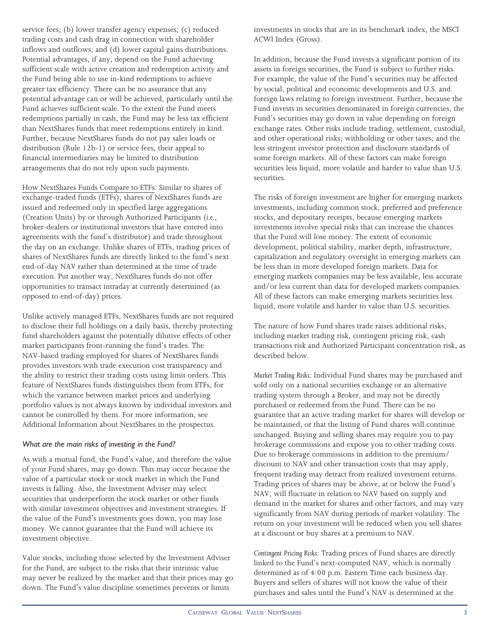service fees; (b) lower transfer agency expenses; (c) reduced trading costs and cash drag in connection with shareholder inflows and outflows; and (d) lower capital gains distributions. Potential advantages, if any, depend on the Fund achieving sufficient scale with active creation and redemption activity and the Fund being able to use in-kind redemptions to achieve greater tax efficiency. There can be no assurance that any potential advantage can or will be achieved, particularly until the Fund achieves sufficient scale. To the extent the Fund meets redemptions partially in cash, the Fund may be less tax efficient than NextShares funds that meet redemptions entirely in kind. Further, because NextShares funds do not pay sales loads or distribution (Rule 12b-1) or service fees, their appeal to financial intermediaries may be limited to distribution arrangements that do not rely upon such payments.

How NextShares Funds Compare to ETFs: Similar to shares of exchange-traded funds (ETFs), shares of NextShares funds are issued and redeemed only in specified large aggregations (Creation Units) by or through Authorized Participants (*i.e.*, broker-dealers or institutional investors that have entered into agreements with the fund's distributor) and trade throughout the day on an exchange. Unlike shares of ETFs, trading prices of shares of NextShares funds are directly linked to the fund's next end-of-day NAV rather than determined at the time of trade execution. Put another way, NextShares funds do not offer opportunities to transact intraday at currently determined (as opposed to end-of-day) prices.

Unlike actively managed ETFs, NextShares funds are not required to disclose their full holdings on a daily basis, thereby protecting fund shareholders against the potentially dilutive effects of other market participants front-running the fund's trades. The NAV-based trading employed for shares of NextShares funds provides investors with trade execution cost transparency and the ability to restrict their trading costs using limit orders. This feature of NextShares funds distinguishes them from ETFs, for which the variance between market prices and underlying portfolio values is not always known by individual investors and cannot be controlled by them. For more information, see Additional Information about NextShares in the prospectus.

# *What are the main risks of investing in the Fund?*

As with a mutual fund, the Fund's value, and therefore the value of your Fund shares, may go down. This may occur because the value of a particular stock or stock market in which the Fund invests is falling. Also, the Investment Adviser may select securities that underperform the stock market or other funds with similar investment objectives and investment strategies. If the value of the Fund's investments goes down, you may lose money. We cannot guarantee that the Fund will achieve its investment objective.

Value stocks, including those selected by the Investment Adviser for the Fund, are subject to the risks that their intrinsic value may never be realized by the market and that their prices may go down. The Fund's value discipline sometimes prevents or limits

investments in stocks that are in its benchmark index, the MSCI ACWI Index (Gross).

In addition, because the Fund invests a significant portion of its assets in foreign securities, the Fund is subject to further risks. For example, the value of the Fund's securities may be affected by social, political and economic developments and U.S. and foreign laws relating to foreign investment. Further, because the Fund invests in securities denominated in foreign currencies, the Fund's securities may go down in value depending on foreign exchange rates. Other risks include trading, settlement, custodial, and other operational risks; withholding or other taxes; and the less stringent investor protection and disclosure standards of some foreign markets. All of these factors can make foreign securities less liquid, more volatile and harder to value than U.S. securities.

The risks of foreign investment are higher for emerging markets investments, including common stock, preferred and preference stocks, and depositary receipts, because emerging markets investments involve special risks that can increase the chances that the Fund will lose money. The extent of economic development, political stability, market depth, infrastructure, capitalization and regulatory oversight in emerging markets can be less than in more developed foreign markets. Data for emerging markets companies may be less available, less accurate and/or less current than data for developed markets companies. All of these factors can make emerging markets securities less liquid, more volatile and harder to value than U.S. securities.

The nature of how Fund shares trade raises additional risks, including market trading risk, contingent pricing risk, cash transactions risk and Authorized Participant concentration risk, as described below.

*Market Trading Risks:* Individual Fund shares may be purchased and sold only on a national securities exchange or an alternative trading system through a Broker, and may not be directly purchased or redeemed from the Fund. There can be no guarantee that an active trading market for shares will develop or be maintained, or that the listing of Fund shares will continue unchanged. Buying and selling shares may require you to pay brokerage commissions and expose you to other trading costs. Due to brokerage commissions in addition to the premium/ discount to NAV and other transaction costs that may apply, frequent trading may detract from realized investment returns. Trading prices of shares may be above, at or below the Fund's NAV, will fluctuate in relation to NAV based on supply and demand in the market for shares and other factors, and may vary significantly from NAV during periods of market volatility. The return on your investment will be reduced when you sell shares at a discount or buy shares at a premium to NAV.

*Contingent Pricing Risks:* Trading prices of Fund shares are directly linked to the Fund's next-computed NAV, which is normally determined as of 4:00 p.m. Eastern Time each business day. Buyers and sellers of shares will not know the value of their purchases and sales until the Fund's NAV is determined at the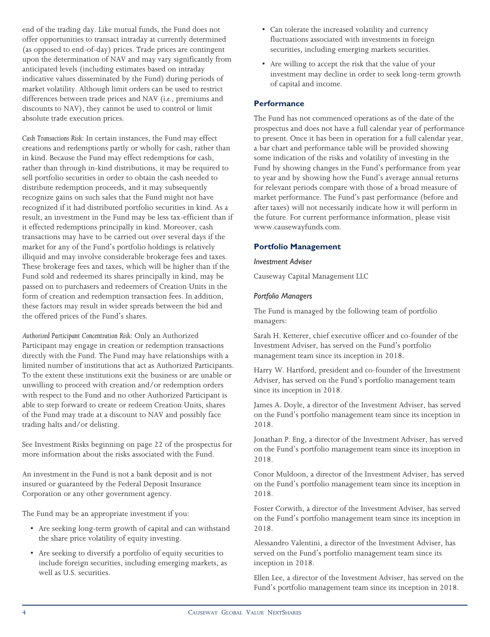end of the trading day. Like mutual funds, the Fund does not offer opportunities to transact intraday at currently determined (as opposed to end-of-day) prices. Trade prices are contingent upon the determination of NAV and may vary significantly from anticipated levels (including estimates based on intraday indicative values disseminated by the Fund) during periods of market volatility. Although limit orders can be used to restrict differences between trade prices and NAV (*i.e.*, premiums and discounts to NAV), they cannot be used to control or limit absolute trade execution prices.

*Cash Transactions Risk:* In certain instances, the Fund may effect creations and redemptions partly or wholly for cash, rather than in kind. Because the Fund may effect redemptions for cash, rather than through in-kind distributions, it may be required to sell portfolio securities in order to obtain the cash needed to distribute redemption proceeds, and it may subsequently recognize gains on such sales that the Fund might not have recognized if it had distributed portfolio securities in kind. As a result, an investment in the Fund may be less tax-efficient than if it effected redemptions principally in kind. Moreover, cash transactions may have to be carried out over several days if the market for any of the Fund's portfolio holdings is relatively illiquid and may involve considerable brokerage fees and taxes. These brokerage fees and taxes, which will be higher than if the Fund sold and redeemed its shares principally in kind, may be passed on to purchasers and redeemers of Creation Units in the form of creation and redemption transaction fees. In addition, these factors may result in wider spreads between the bid and the offered prices of the Fund's shares.

*Authorized Participant Concentration Risk:* Only an Authorized Participant may engage in creation or redemption transactions directly with the Fund. The Fund may have relationships with a limited number of institutions that act as Authorized Participants. To the extent these institutions exit the business or are unable or unwilling to proceed with creation and/or redemption orders with respect to the Fund and no other Authorized Participant is able to step forward to create or redeem Creation Units, shares of the Fund may trade at a discount to NAV and possibly face trading halts and/or delisting.

See Investment Risks beginning on page 22 of the prospectus for more information about the risks associated with the Fund.

An investment in the Fund is not a bank deposit and is not insured or guaranteed by the Federal Deposit Insurance Corporation or any other government agency.

The Fund may be an appropriate investment if you:

- Are seeking long-term growth of capital and can withstand the share price volatility of equity investing.
- Are seeking to diversify a portfolio of equity securities to include foreign securities, including emerging markets, as well as U.S. securities.
- Can tolerate the increased volatility and currency fluctuations associated with investments in foreign securities, including emerging markets securities.
- Are willing to accept the risk that the value of your investment may decline in order to seek long-term growth of capital and income.

# **Performance**

The Fund has not commenced operations as of the date of the prospectus and does not have a full calendar year of performance to present. Once it has been in operation for a full calendar year, a bar chart and performance table will be provided showing some indication of the risks and volatility of investing in the Fund by showing changes in the Fund's performance from year to year and by showing how the Fund's average annual returns for relevant periods compare with those of a broad measure of market performance. The Fund's past performance (before and after taxes) will not necessarily indicate how it will perform in the future. For current performance information, please visit www.causewayfunds.com.

# **Portfolio Management**

### *Investment Adviser*

Causeway Capital Management LLC

# *Portfolio Managers*

The Fund is managed by the following team of portfolio managers:

Sarah H. Ketterer, chief executive officer and co-founder of the Investment Adviser, has served on the Fund's portfolio management team since its inception in 2018.

Harry W. Hartford, president and co-founder of the Investment Adviser, has served on the Fund's portfolio management team since its inception in 2018.

James A. Doyle, a director of the Investment Adviser, has served on the Fund's portfolio management team since its inception in 2018.

Jonathan P. Eng, a director of the Investment Adviser, has served on the Fund's portfolio management team since its inception in 2018.

Conor Muldoon, a director of the Investment Adviser, has served on the Fund's portfolio management team since its inception in 2018.

Foster Corwith, a director of the Investment Adviser, has served on the Fund's portfolio management team since its inception in 2018.

Alessandro Valentini, a director of the Investment Adviser, has served on the Fund's portfolio management team since its inception in 2018.

Ellen Lee, a director of the Investment Adviser, has served on the Fund's portfolio management team since its inception in 2018.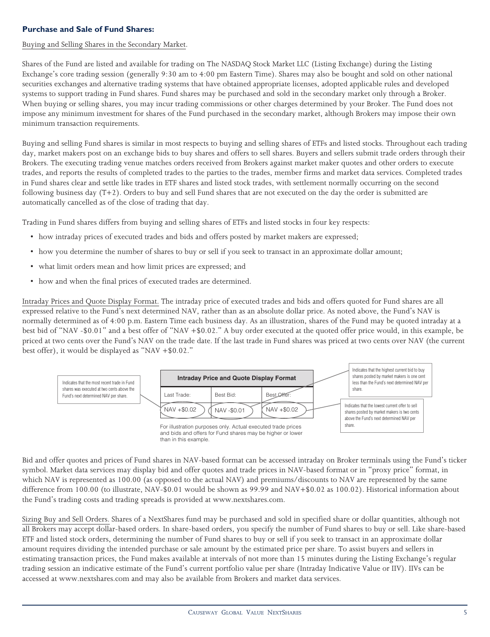# **Purchase and Sale of Fund Shares:**

# Buying and Selling Shares in the Secondary Market.

Shares of the Fund are listed and available for trading on The NASDAQ Stock Market LLC (Listing Exchange) during the Listing Exchange's core trading session (generally 9:30 am to 4:00 pm Eastern Time). Shares may also be bought and sold on other national securities exchanges and alternative trading systems that have obtained appropriate licenses, adopted applicable rules and developed systems to support trading in Fund shares. Fund shares may be purchased and sold in the secondary market only through a Broker. When buying or selling shares, you may incur trading commissions or other charges determined by your Broker. The Fund does not impose any minimum investment for shares of the Fund purchased in the secondary market, although Brokers may impose their own minimum transaction requirements.

Buying and selling Fund shares is similar in most respects to buying and selling shares of ETFs and listed stocks. Throughout each trading day, market makers post on an exchange bids to buy shares and offers to sell shares. Buyers and sellers submit trade orders through their Brokers. The executing trading venue matches orders received from Brokers against market maker quotes and other orders to execute trades, and reports the results of completed trades to the parties to the trades, member firms and market data services. Completed trades in Fund shares clear and settle like trades in ETF shares and listed stock trades, with settlement normally occurring on the second following business day (T+2). Orders to buy and sell Fund shares that are not executed on the day the order is submitted are automatically cancelled as of the close of trading that day.

Trading in Fund shares differs from buying and selling shares of ETFs and listed stocks in four key respects:

- how intraday prices of executed trades and bids and offers posted by market makers are expressed;
- how you determine the number of shares to buy or sell if you seek to transact in an approximate dollar amount;
- what limit orders mean and how limit prices are expressed; and
- how and when the final prices of executed trades are determined.

Intraday Prices and Quote Display Format. The intraday price of executed trades and bids and offers quoted for Fund shares are all expressed relative to the Fund's next determined NAV, rather than as an absolute dollar price. As noted above, the Fund's NAV is normally determined as of 4:00 p.m. Eastern Time each business day. As an illustration, shares of the Fund may be quoted intraday at a best bid of "NAV -\$0.01" and a best offer of "NAV +\$0.02." A buy order executed at the quoted offer price would, in this example, be priced at two cents over the Fund's NAV on the trade date. If the last trade in Fund shares was priced at two cents over NAV (the current best offer), it would be displayed as "NAV +\$0.02."



and bids and offers for Fund shares may be higher or lower than in this example.

Bid and offer quotes and prices of Fund shares in NAV-based format can be accessed intraday on Broker terminals using the Fund's ticker symbol. Market data services may display bid and offer quotes and trade prices in NAV-based format or in "proxy price" format, in which NAV is represented as 100.00 (as opposed to the actual NAV) and premiums/discounts to NAV are represented by the same difference from 100.00 (to illustrate, NAV-\$0.01 would be shown as 99.99 and NAV+\$0.02 as 100.02). Historical information about the Fund's trading costs and trading spreads is provided at www.nextshares.com.

Sizing Buy and Sell Orders. Shares of a NextShares fund may be purchased and sold in specified share or dollar quantities, although not all Brokers may accept dollar-based orders. In share-based orders, you specify the number of Fund shares to buy or sell. Like share-based ETF and listed stock orders, determining the number of Fund shares to buy or sell if you seek to transact in an approximate dollar amount requires dividing the intended purchase or sale amount by the estimated price per share. To assist buyers and sellers in estimating transaction prices, the Fund makes available at intervals of not more than 15 minutes during the Listing Exchange's regular trading session an indicative estimate of the Fund's current portfolio value per share (Intraday Indicative Value or IIV). IIVs can be accessed at www.nextshares.com and may also be available from Brokers and market data services.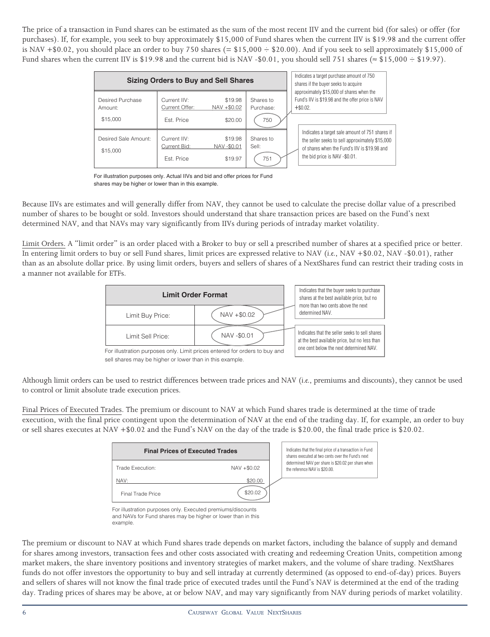The price of a transaction in Fund shares can be estimated as the sum of the most recent IIV and the current bid (for sales) or offer (for purchases). If, for example, you seek to buy approximately \$15,000 of Fund shares when the current IIV is \$19.98 and the current offer is NAV  $+$  \$0.02, you should place an order to buy 750 shares (= \$15,000  $\div$  \$20.00). And if you seek to sell approximately \$15,000 of Fund shares when the current IIV is \$19.98 and the current bid is NAV -\$0.01, you should sell 751 shares ( $\approx$  \$15,000  $\div$  \$19.97).

| <b>Sizing Orders to Buy and Sell Shares</b> |                                            |                                  | Indicates a target purchase amount of 750<br>shares if the buyer seeks to acquire |                                                                                                                                                                                    |
|---------------------------------------------|--------------------------------------------|----------------------------------|-----------------------------------------------------------------------------------|------------------------------------------------------------------------------------------------------------------------------------------------------------------------------------|
| Desired Purchase<br>Amount:                 | Current IIV:<br>Current Offer:             | \$19.98<br>NAV +\$0.02           | Shares to<br>Purchase:                                                            | approximately \$15,000 of shares when the<br>Fund's IIV is \$19.98 and the offer price is NAV<br>$+$ \$0.02.                                                                       |
| \$15,000                                    | Est. Price                                 | \$20.00                          | 750                                                                               |                                                                                                                                                                                    |
| Desired Sale Amount:<br>\$15,000            | Current IIV:<br>Current Bid:<br>Est. Price | \$19.98<br>NAV-\$0.01<br>\$19.97 | Shares to<br>Sell:<br>751                                                         | Indicates a target sale amount of 751 shares if<br>the seller seeks to sell approximately \$15,000<br>of shares when the Fund's IIV is \$19.98 and<br>the bid price is NAV-\$0.01. |

For illustration purposes only. Actual IIVs and bid and offer prices for Fund shares may be higher or lower than in this example.

Because IIVs are estimates and will generally differ from NAV, they cannot be used to calculate the precise dollar value of a prescribed number of shares to be bought or sold. Investors should understand that share transaction prices are based on the Fund's next determined NAV, and that NAVs may vary significantly from IIVs during periods of intraday market volatility.

Limit Orders. A "limit order" is an order placed with a Broker to buy or sell a prescribed number of shares at a specified price or better. In entering limit orders to buy or sell Fund shares, limit prices are expressed relative to NAV (*i.e.*, NAV +\$0.02, NAV -\$0.01), rather than as an absolute dollar price. By using limit orders, buyers and sellers of shares of a NextShares fund can restrict their trading costs in a manner not available for ETFs.



sell shares may be higher or lower than in this example.

Although limit orders can be used to restrict differences between trade prices and NAV (*i.e.*, premiums and discounts), they cannot be used to control or limit absolute trade execution prices.

Final Prices of Executed Trades. The premium or discount to NAV at which Fund shares trade is determined at the time of trade execution, with the final price contingent upon the determination of NAV at the end of the trading day. If, for example, an order to buy or sell shares executes at NAV +\$0.02 and the Fund's NAV on the day of the trade is \$20.00, the final trade price is \$20.02.

| <b>Final Prices of Executed Trades</b> |             |  | Indicates that the final price of a transaction in Fund<br>shares executed at two cents over the Fund's next |
|----------------------------------------|-------------|--|--------------------------------------------------------------------------------------------------------------|
| Trade Execution:                       | NAV +\$0.02 |  | determined NAV per share is \$20.02 per share when<br>the reference NAV is \$20.00.                          |
| NAV:                                   | \$20.00     |  |                                                                                                              |
| Final Trade Price                      | \$20.02     |  |                                                                                                              |

For illustration purposes only. Executed premiums/discounts and NAVs for Fund shares may be higher or lower than in this example.

The premium or discount to NAV at which Fund shares trade depends on market factors, including the balance of supply and demand for shares among investors, transaction fees and other costs associated with creating and redeeming Creation Units, competition among market makers, the share inventory positions and inventory strategies of market makers, and the volume of share trading. NextShares funds do not offer investors the opportunity to buy and sell intraday at currently determined (as opposed to end-of-day) prices. Buyers and sellers of shares will not know the final trade price of executed trades until the Fund's NAV is determined at the end of the trading day. Trading prices of shares may be above, at or below NAV, and may vary significantly from NAV during periods of market volatility.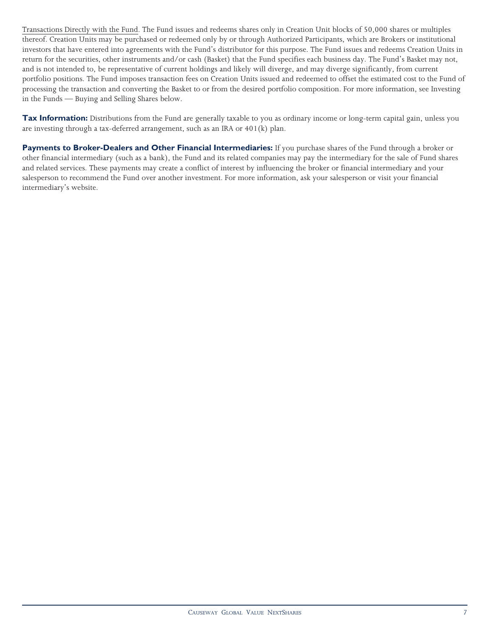Transactions Directly with the Fund. The Fund issues and redeems shares only in Creation Unit blocks of 50,000 shares or multiples thereof. Creation Units may be purchased or redeemed only by or through Authorized Participants, which are Brokers or institutional investors that have entered into agreements with the Fund's distributor for this purpose. The Fund issues and redeems Creation Units in return for the securities, other instruments and/or cash (Basket) that the Fund specifies each business day. The Fund's Basket may not, and is not intended to, be representative of current holdings and likely will diverge, and may diverge significantly, from current portfolio positions. The Fund imposes transaction fees on Creation Units issued and redeemed to offset the estimated cost to the Fund of processing the transaction and converting the Basket to or from the desired portfolio composition. For more information, see Investing in the Funds — Buying and Selling Shares below.

**Tax Information:** Distributions from the Fund are generally taxable to you as ordinary income or long-term capital gain, unless you are investing through a tax-deferred arrangement, such as an IRA or 401(k) plan.

**Payments to Broker-Dealers and Other Financial Intermediaries:** If you purchase shares of the Fund through a broker or other financial intermediary (such as a bank), the Fund and its related companies may pay the intermediary for the sale of Fund shares and related services. These payments may create a conflict of interest by influencing the broker or financial intermediary and your salesperson to recommend the Fund over another investment. For more information, ask your salesperson or visit your financial intermediary's website.